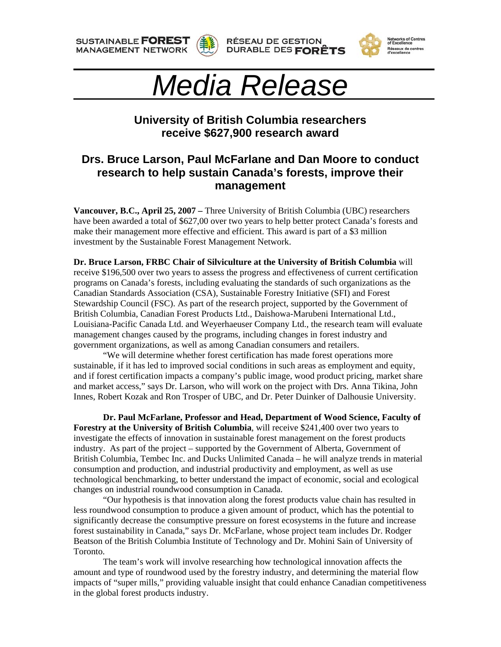**SUSTAINABLE FOREST MANAGEMENT NETWORK** 











## **University of British Columbia researchers receive \$627,900 research award**

## **Drs. Bruce Larson, Paul McFarlane and Dan Moore to conduct research to help sustain Canada's forests, improve their management**

**Vancouver, B.C., April 25, 2007 –** Three University of British Columbia (UBC) researchers have been awarded a total of \$627,00 over two years to help better protect Canada's forests and make their management more effective and efficient. This award is part of a \$3 million investment by the Sustainable Forest Management Network.

**Dr. Bruce Larson, FRBC Chair of Silviculture at the University of British Columbia** will receive \$196,500 over two years to assess the progress and effectiveness of current certification programs on Canada's forests, including evaluating the standards of such organizations as the Canadian Standards Association (CSA), Sustainable Forestry Initiative (SFI) and Forest Stewardship Council (FSC). As part of the research project, supported by the Government of British Columbia, Canadian Forest Products Ltd., Daishowa-Marubeni International Ltd., Louisiana-Pacific Canada Ltd. and Weyerhaeuser Company Ltd., the research team will evaluate management changes caused by the programs, including changes in forest industry and government organizations, as well as among Canadian consumers and retailers.

 "We will determine whether forest certification has made forest operations more sustainable, if it has led to improved social conditions in such areas as employment and equity, and if forest certification impacts a company's public image, wood product pricing, market share and market access," says Dr. Larson, who will work on the project with Drs. Anna Tikina, John Innes, Robert Kozak and Ron Trosper of UBC, and Dr. Peter Duinker of Dalhousie University.

**Dr. Paul McFarlane, Professor and Head, Department of Wood Science, Faculty of Forestry at the University of British Columbia**, will receive \$241,400 over two years to investigate the effects of innovation in sustainable forest management on the forest products industry. As part of the project – supported by the Government of Alberta, Government of British Columbia, Tembec Inc. and Ducks Unlimited Canada – he will analyze trends in material consumption and production, and industrial productivity and employment, as well as use technological benchmarking, to better understand the impact of economic, social and ecological changes on industrial roundwood consumption in Canada.

"Our hypothesis is that innovation along the forest products value chain has resulted in less roundwood consumption to produce a given amount of product, which has the potential to significantly decrease the consumptive pressure on forest ecosystems in the future and increase forest sustainability in Canada," says Dr. McFarlane, whose project team includes Dr. Rodger Beatson of the British Columbia Institute of Technology and Dr. Mohini Sain of University of Toronto.

The team's work will involve researching how technological innovation affects the amount and type of roundwood used by the forestry industry, and determining the material flow impacts of "super mills," providing valuable insight that could enhance Canadian competitiveness in the global forest products industry.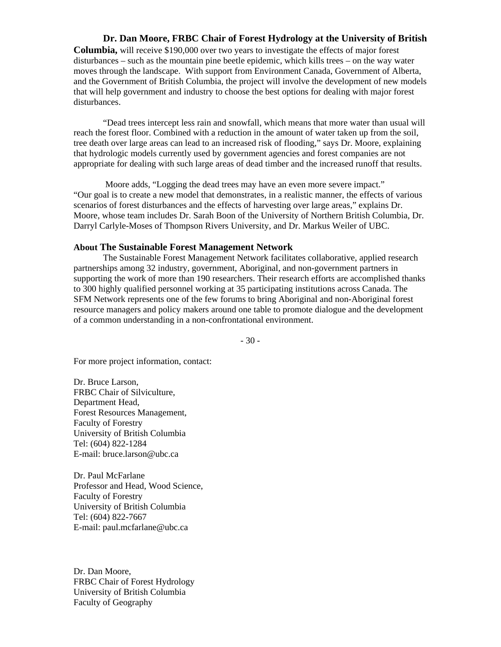## **Dr. Dan Moore, FRBC Chair of Forest Hydrology at the University of British**

**Columbia,** will receive \$190,000 over two years to investigate the effects of major forest disturbances – such as the mountain pine beetle epidemic, which kills trees – on the way water moves through the landscape. With support from Environment Canada, Government of Alberta, and the Government of British Columbia, the project will involve the development of new models that will help government and industry to choose the best options for dealing with major forest disturbances.

 "Dead trees intercept less rain and snowfall, which means that more water than usual will reach the forest floor. Combined with a reduction in the amount of water taken up from the soil, tree death over large areas can lead to an increased risk of flooding," says Dr. Moore, explaining that hydrologic models currently used by government agencies and forest companies are not appropriate for dealing with such large areas of dead timber and the increased runoff that results.

 Moore adds, "Logging the dead trees may have an even more severe impact." "Our goal is to create a new model that demonstrates, in a realistic manner, the effects of various scenarios of forest disturbances and the effects of harvesting over large areas," explains Dr. Moore, whose team includes Dr. Sarah Boon of the University of Northern British Columbia, Dr. Darryl Carlyle-Moses of Thompson Rivers University, and Dr. Markus Weiler of UBC.

## **About The Sustainable Forest Management Network**

 The Sustainable Forest Management Network facilitates collaborative, applied research partnerships among 32 industry, government, Aboriginal, and non-government partners in supporting the work of more than 190 researchers. Their research efforts are accomplished thanks to 300 highly qualified personnel working at 35 participating institutions across Canada. The SFM Network represents one of the few forums to bring Aboriginal and non-Aboriginal forest resource managers and policy makers around one table to promote dialogue and the development of a common understanding in a non-confrontational environment.

- 30 -

For more project information, contact:

Dr. Bruce Larson, FRBC Chair of Silviculture, Department Head, Forest Resources Management, Faculty of Forestry University of British Columbia Tel: (604) 822-1284 E-mail: bruce.larson@ubc.ca

Dr. Paul McFarlane Professor and Head, Wood Science, Faculty of Forestry University of British Columbia Tel: (604) 822-7667 E-mail: paul.mcfarlane@ubc.ca

Dr. Dan Moore, FRBC Chair of Forest Hydrology University of British Columbia Faculty of Geography